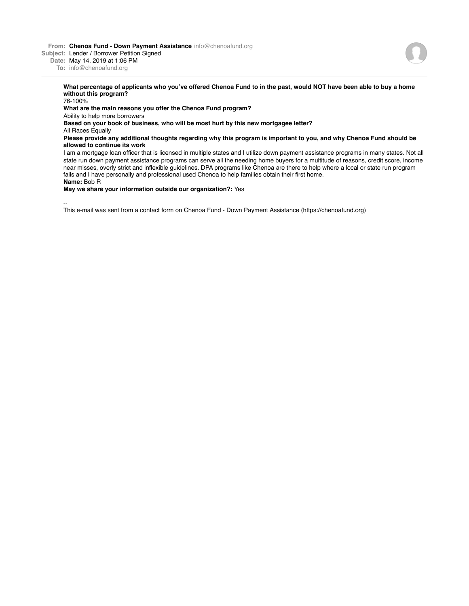**From: Chenoa Fund - Down Payment Assistance** info@chenoafund.org

**Subject:** Lender / Borrower Petition Signed

**Date:** May 14, 2019 at 1:06 PM

**To:** info@chenoafund.org

## **What percentage of applicants who you've offered Chenoa Fund to in the past, would NOT have been able to buy a home without this program?**

76-100%

## **What are the main reasons you offer the Chenoa Fund program?**

Ability to help more borrowers

**Based on your book of business, who will be most hurt by this new mortgagee letter?**

All Races Equally

## **Please provide any additional thoughts regarding why this program is important to you, and why Chenoa Fund should be allowed to continue its work**

I am a mortgage loan officer that is licensed in multiple states and I utilize down payment assistance programs in many states. Not all state run down payment assistance programs can serve all the needing home buyers for a multitude of reasons, credit score, income near misses, overly strict and inflexible guidelines. DPA programs like Chenoa are there to help where a local or state run program fails and I have personally and professional used Chenoa to help families obtain their first home. **Name:** Bob R

**May we share your information outside our organization?:** Yes

--

This e-mail was sent from a contact form on Chenoa Fund - Down Payment Assistance (https://chenoafund.org)